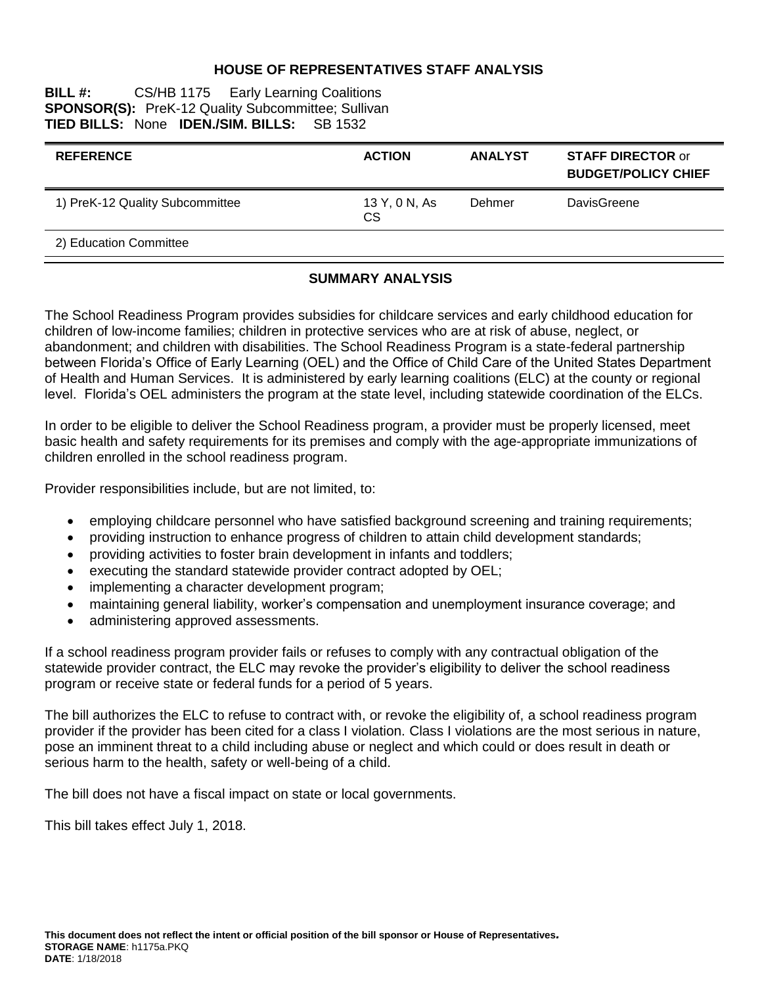#### **HOUSE OF REPRESENTATIVES STAFF ANALYSIS**

#### **BILL #:** CS/HB 1175 Early Learning Coalitions **SPONSOR(S):** PreK-12 Quality Subcommittee; Sullivan TIED BILLS: None IDEN./SIM. BILLS: SB 1532 **TIED BILLS: None IDEN./SIM. BILLS:**

| <b>REFERENCE</b>                | <b>ACTION</b>              | <b>ANALYST</b> | <b>STAFF DIRECTOR or</b><br><b>BUDGET/POLICY CHIEF</b> |
|---------------------------------|----------------------------|----------------|--------------------------------------------------------|
| 1) PreK-12 Quality Subcommittee | 13 Y, 0 N, As<br><b>CS</b> | Dehmer         | DavisGreene                                            |
| 2) Education Committee          |                            |                |                                                        |

#### **SUMMARY ANALYSIS**

The School Readiness Program provides subsidies for childcare services and early childhood education for children of low-income families; children in protective services who are at risk of abuse, neglect, or abandonment; and children with disabilities. The School Readiness Program is a state-federal partnership between Florida's Office of Early Learning (OEL) and the Office of Child Care of the United States Department of Health and Human Services. It is administered by early learning coalitions (ELC) at the county or regional level. Florida's OEL administers the program at the state level, including statewide coordination of the ELCs.

In order to be eligible to deliver the School Readiness program, a provider must be properly licensed, meet basic health and safety requirements for its premises and comply with the age-appropriate immunizations of children enrolled in the school readiness program.

Provider responsibilities include, but are not limited, to:

- employing childcare personnel who have satisfied background screening and training requirements;
- providing instruction to enhance progress of children to attain child development standards;
- providing activities to foster brain development in infants and toddlers;
- executing the standard statewide provider contract adopted by OEL;
- implementing a character development program;
- maintaining general liability, worker's compensation and unemployment insurance coverage; and
- administering approved assessments.

If a school readiness program provider fails or refuses to comply with any contractual obligation of the statewide provider contract, the ELC may revoke the provider's eligibility to deliver the school readiness program or receive state or federal funds for a period of 5 years.

The bill authorizes the ELC to refuse to contract with, or revoke the eligibility of, a school readiness program provider if the provider has been cited for a class I violation. Class I violations are the most serious in nature, pose an imminent threat to a child including abuse or neglect and which could or does result in death or serious harm to the health, safety or well-being of a child.

The bill does not have a fiscal impact on state or local governments.

This bill takes effect July 1, 2018.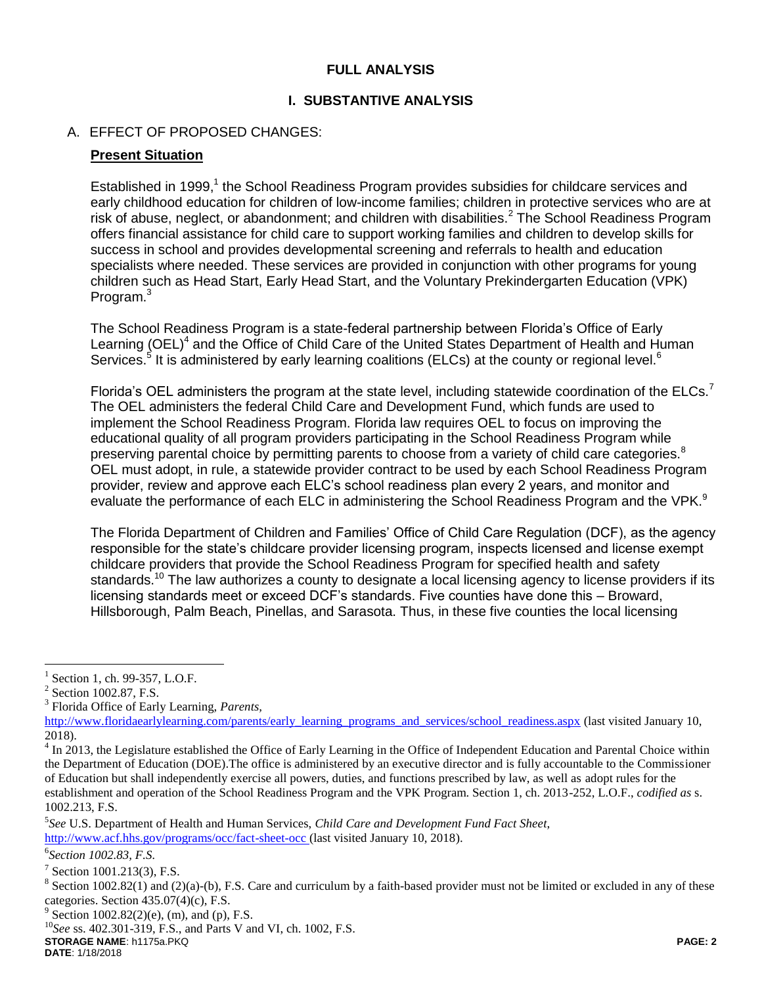## **FULL ANALYSIS**

## **I. SUBSTANTIVE ANALYSIS**

### A. EFFECT OF PROPOSED CHANGES:

#### **Present Situation**

Established in 1999,<sup>1</sup> the School Readiness Program provides subsidies for childcare services and early childhood education for children of low-income families; children in protective services who are at risk of abuse, neglect, or abandonment; and children with disabilities.<sup>2</sup> The School Readiness Program offers financial assistance for child care to support working families and children to develop skills for success in school and provides developmental screening and referrals to health and education specialists where needed. These services are provided in conjunction with other programs for young children such as Head Start, Early Head Start, and the Voluntary Prekindergarten Education (VPK) Program.<sup>3</sup>

The School Readiness Program is a state-federal partnership between Florida's Office of Early Learning (OEL)<sup>4</sup> and the Office of Child Care of the United States Department of Health and Human Services.<sup>5</sup> It is administered by early learning coalitions (ELCs) at the county or regional level.<sup>6</sup>

Florida's OEL administers the program at the state level, including statewide coordination of the ELCs.<sup>7</sup> The OEL administers the federal Child Care and Development Fund, which funds are used to implement the School Readiness Program. Florida law requires OEL to focus on improving the educational quality of all program providers participating in the School Readiness Program while preserving parental choice by permitting parents to choose from a variety of child care categories.<sup>8</sup> OEL must adopt, in rule, a statewide provider contract to be used by each School Readiness Program provider, review and approve each ELC's school readiness plan every 2 years, and monitor and evaluate the performance of each ELC in administering the School Readiness Program and the VPK.<sup>9</sup>

The Florida Department of Children and Families' Office of Child Care Regulation (DCF), as the agency responsible for the state's childcare provider licensing program, inspects licensed and license exempt childcare providers that provide the School Readiness Program for specified health and safety standards.<sup>10</sup> The law authorizes a county to designate a local licensing agency to license providers if its licensing standards meet or exceed DCF's standards. Five counties have done this – Broward, Hillsborough, Palm Beach, Pinellas, and Sarasota. Thus, in these five counties the local licensing

 $\overline{a}$ 

6 *Section 1002.83, F.S.*

**STORAGE NAME**: h1175a.PKQ **PAGE: 2 DATE**: 1/18/2018

<sup>&</sup>lt;sup>1</sup> Section 1, ch. 99-357, L.O.F.

<sup>&</sup>lt;sup>2</sup> Section 1002.87, F.S.

<sup>3</sup> Florida Office of Early Learning, *Parents,*

[http://www.floridaearlylearning.com/parents/early\\_learning\\_programs\\_and\\_services/school\\_readiness.aspx](http://www.floridaearlylearning.com/parents/early_learning_programs_and_services/school_readiness.aspx) (last visited January 10, 2018).

 $4 \text{ In } 2013$ , the Legislature established the Office of Early Learning in the Office of Independent Education and Parental Choice within the Department of Education (DOE).The office is administered by an executive director and is fully accountable to the Commissioner of Education but shall independently exercise all powers, duties, and functions prescribed by law, as well as adopt rules for the establishment and operation of the School Readiness Program and the VPK Program. Section 1, ch. 2013-252, L.O.F., *codified as* s. 1002.213, F.S.

<sup>5</sup> *See* U.S. Department of Health and Human Services, *Child Care and Development Fund Fact Sheet*, <http://www.acf.hhs.gov/programs/occ/fact-sheet-occ> (last visited January 10, 2018).

 $7$  Section 1001.213(3), F.S.

<sup>&</sup>lt;sup>8</sup> Section 1002.82(1) and (2)(a)-(b), F.S. Care and curriculum by a faith-based provider must not be limited or excluded in any of these categories. Section 435.07(4)(c), F.S.

 $9^9$  Section 1002.82(2)(e), (m), and (p), F.S.

<sup>10</sup>*See* ss. 402.301-319, F.S., and Parts V and VI, ch. 1002, F.S.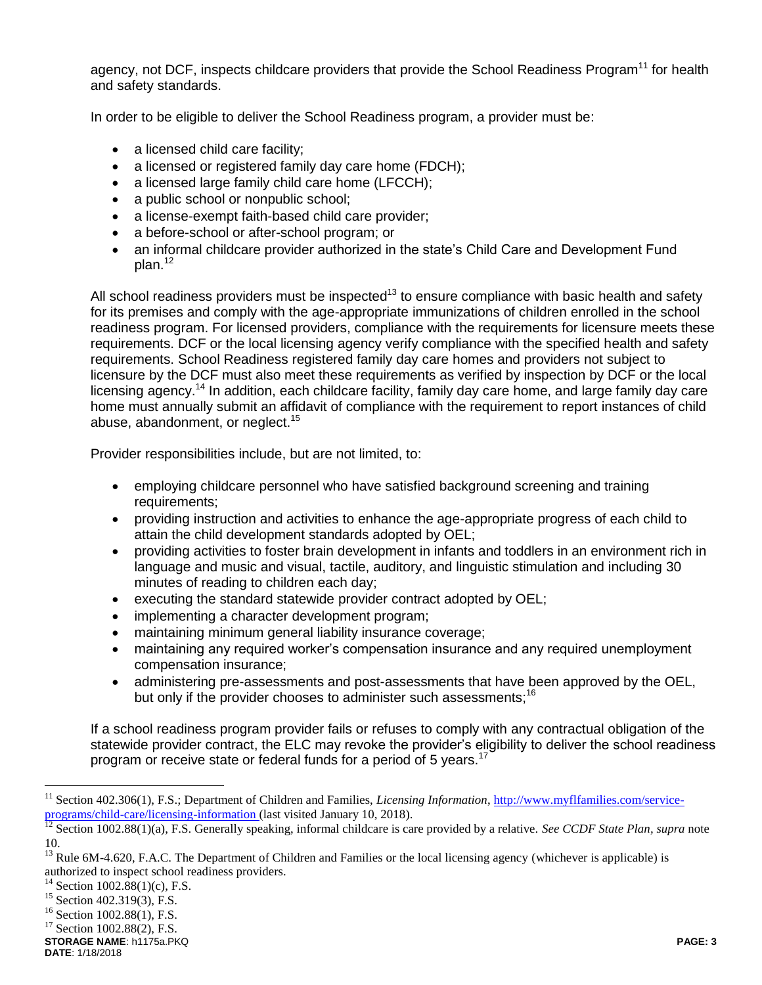agency, not DCF, inspects childcare providers that provide the School Readiness Program<sup>11</sup> for health and safety standards.

In order to be eligible to deliver the School Readiness program, a provider must be:

- a licensed child care facility;
- a licensed or registered family day care home (FDCH);
- a licensed large family child care home (LFCCH);
- a public school or nonpublic school;
- a license-exempt faith-based child care provider;
- a before-school or after-school program; or
- an informal childcare provider authorized in the state's Child Care and Development Fund  $plan.<sup>12</sup>$

All school readiness providers must be inspected<sup>13</sup> to ensure compliance with basic health and safety for its premises and comply with the age-appropriate immunizations of children enrolled in the school readiness program. For licensed providers, compliance with the requirements for licensure meets these requirements. DCF or the local licensing agency verify compliance with the specified health and safety requirements. School Readiness registered family day care homes and providers not subject to licensure by the DCF must also meet these requirements as verified by inspection by DCF or the local licensing agency.<sup>14</sup> In addition, each childcare facility, family day care home, and large family day care home must annually submit an affidavit of compliance with the requirement to report instances of child abuse, abandonment, or neglect.<sup>15</sup>

Provider responsibilities include, but are not limited, to:

- employing childcare personnel who have satisfied background screening and training requirements;
- providing instruction and activities to enhance the age-appropriate progress of each child to attain the child development standards adopted by OEL;
- providing activities to foster brain development in infants and toddlers in an environment rich in language and music and visual, tactile, auditory, and linguistic stimulation and including 30 minutes of reading to children each day;
- executing the standard statewide provider contract adopted by OEL;
- implementing a character development program;
- maintaining minimum general liability insurance coverage;
- maintaining any required worker's compensation insurance and any required unemployment compensation insurance;
- administering pre-assessments and post-assessments that have been approved by the OEL, but only if the provider chooses to administer such assessments;<sup>16</sup>

If a school readiness program provider fails or refuses to comply with any contractual obligation of the statewide provider contract, the ELC may revoke the provider's eligibility to deliver the school readiness program or receive state or federal funds for a period of 5 years.<sup>17</sup>

 $\overline{a}$ 

<sup>&</sup>lt;sup>11</sup> Section 402.306(1), F.S.; Department of Children and Families, *Licensing Information*[, http://www.myflfamilies.com/service](http://www.myflfamilies.com/service-programs/child-care/licensing-information)[programs/child-care/licensing-information](http://www.myflfamilies.com/service-programs/child-care/licensing-information) (last visited January 10, 2018).

<sup>&</sup>lt;sup>12</sup> Section 1002.88(1)(a), F.S. Generally speaking, informal childcare is care provided by a relative. *See CCDF State Plan, supra* note 10.

<sup>&</sup>lt;sup>13</sup> Rule 6M-4.620, F.A.C. The Department of Children and Families or the local licensing agency (whichever is applicable) is authorized to inspect school readiness providers.

<sup>&</sup>lt;sup>14</sup> Section 1002.88(1)(c), F.S.

<sup>&</sup>lt;sup>15</sup> Section 402.319(3), F.S.

<sup>&</sup>lt;sup>16</sup> Section 1002.88(1), F.S.

 $17$  Section 1002.88(2), F.S.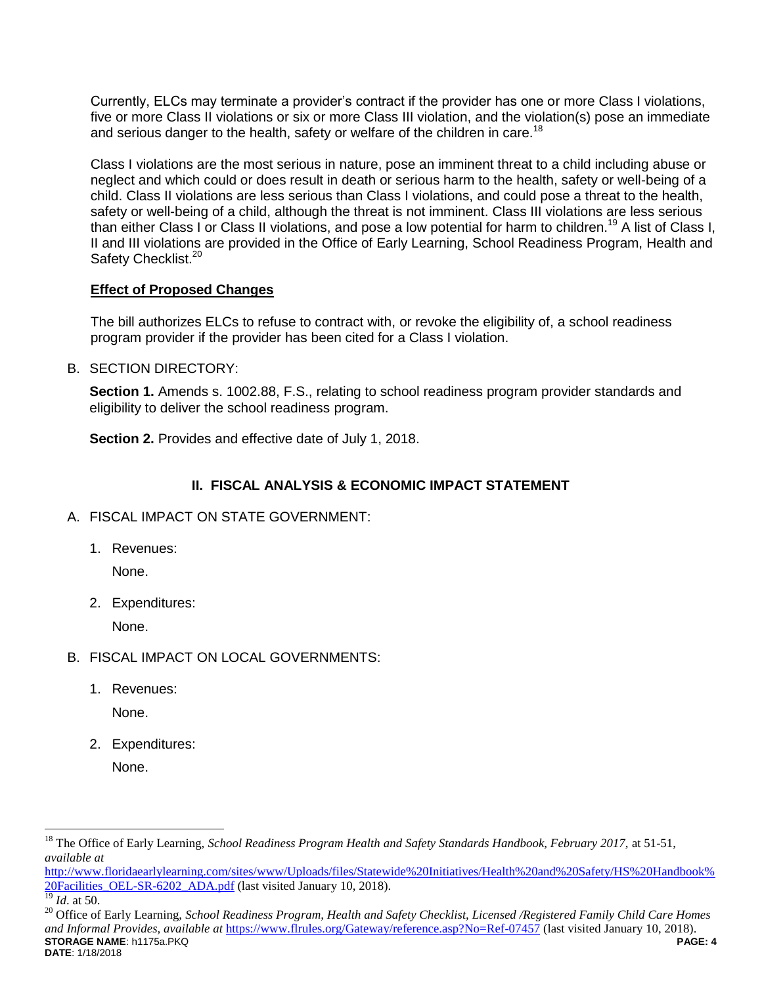Currently, ELCs may terminate a provider's contract if the provider has one or more Class I violations, five or more Class II violations or six or more Class III violation, and the violation(s) pose an immediate and serious danger to the health, safety or welfare of the children in care.<sup>18</sup>

Class I violations are the most serious in nature, pose an imminent threat to a child including abuse or neglect and which could or does result in death or serious harm to the health, safety or well-being of a child. Class II violations are less serious than Class I violations, and could pose a threat to the health, safety or well-being of a child, although the threat is not imminent. Class III violations are less serious than either Class I or Class II violations, and pose a low potential for harm to children.<sup>19</sup> A list of Class I, II and III violations are provided in the Office of Early Learning, School Readiness Program, Health and Safety Checklist.<sup>20</sup>

#### **Effect of Proposed Changes**

The bill authorizes ELCs to refuse to contract with, or revoke the eligibility of, a school readiness program provider if the provider has been cited for a Class I violation.

B. SECTION DIRECTORY:

**Section 1.** Amends s. 1002.88, F.S., relating to school readiness program provider standards and eligibility to deliver the school readiness program.

**Section 2.** Provides and effective date of July 1, 2018.

## **II. FISCAL ANALYSIS & ECONOMIC IMPACT STATEMENT**

- A. FISCAL IMPACT ON STATE GOVERNMENT:
	- 1. Revenues:

None.

2. Expenditures:

None.

- B. FISCAL IMPACT ON LOCAL GOVERNMENTS:
	- 1. Revenues:

None.

- 2. Expenditures:
	- None.

[http://www.floridaearlylearning.com/sites/www/Uploads/files/Statewide%20Initiatives/Health%20and%20Safety/HS%20Handbook%](http://www.floridaearlylearning.com/sites/www/Uploads/files/Statewide%20Initiatives/Health%20and%20Safety/HS%20Handbook%20Facilities_OEL-SR-6202_ADA.pdf) [20Facilities\\_OEL-SR-6202\\_ADA.pdf](http://www.floridaearlylearning.com/sites/www/Uploads/files/Statewide%20Initiatives/Health%20and%20Safety/HS%20Handbook%20Facilities_OEL-SR-6202_ADA.pdf) (last visited January 10, 2018).

 $\overline{a}$ 

<sup>18</sup> The Office of Early Learning, *School Readiness Program Health and Safety Standards Handbook, February 2017,* at 51-51, *available at* 

*Id.* at 50.

**STORAGE NAME**: h1175a.PKQ **PAGE: 4 DATE**: 1/18/2018 <sup>20</sup> Office of Early Learning, *School Readiness Program, Health and Safety Checklist, Licensed /Registered Family Child Care Homes and Informal Provides, available at* <https://www.flrules.org/Gateway/reference.asp?No=Ref-07457> (last visited January 10, 2018).